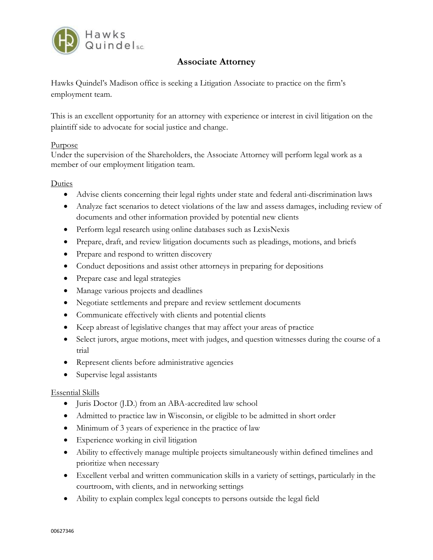

# **Associate Attorney**

Hawks Quindel's Madison office is seeking a Litigation Associate to practice on the firm's employment team.

This is an excellent opportunity for an attorney with experience or interest in civil litigation on the plaintiff side to advocate for social justice and change.

#### Purpose

Under the supervision of the Shareholders, the Associate Attorney will perform legal work as a member of our employment litigation team.

### Duties

- Advise clients concerning their legal rights under state and federal anti-discrimination laws
- Analyze fact scenarios to detect violations of the law and assess damages, including review of documents and other information provided by potential new clients
- Perform legal research using online databases such as LexisNexis
- Prepare, draft, and review litigation documents such as pleadings, motions, and briefs
- Prepare and respond to written discovery
- Conduct depositions and assist other attorneys in preparing for depositions
- Prepare case and legal strategies
- Manage various projects and deadlines
- Negotiate settlements and prepare and review settlement documents
- Communicate effectively with clients and potential clients
- Keep abreast of legislative changes that may affect your areas of practice
- Select jurors, argue motions, meet with judges, and question witnesses during the course of a trial
- Represent clients before administrative agencies
- Supervise legal assistants

## Essential Skills

- Juris Doctor (J.D.) from an ABA-accredited law school
- Admitted to practice law in Wisconsin, or eligible to be admitted in short order
- Minimum of 3 years of experience in the practice of law
- Experience working in civil litigation
- Ability to effectively manage multiple projects simultaneously within defined timelines and prioritize when necessary
- Excellent verbal and written communication skills in a variety of settings, particularly in the courtroom, with clients, and in networking settings
- Ability to explain complex legal concepts to persons outside the legal field